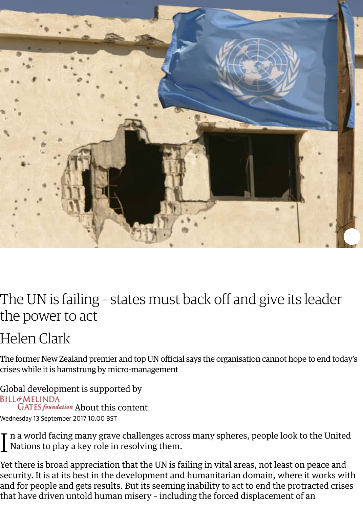<span id="page-0-0"></span>

## The UN is failing - states must back off and give its lea the power to act

## Helen Clark

The former New Zealand premier and top UN official says the organisation cannot h[ope t](https://twitter.com/intent/tweet?text=%E2%80%9CThe%20UN%20is%20failing%20%E2%80%93%20states%20must%20back%20off%20and%20give%20its%20leader%20the%20power%20to%20act%0A%0A%0AHelen%20Clark%E2%80%9D&url=https://gu.com/p/76hmk/stw)o crises while it is hamstrung by micro-management

Global development is supported by<br>BILL&MELINDA GATES foundation About this content Wednesday 13 September 2017 10.00 BST

I[n a world facing](https://www.theguardian.com/profile/helen-clark) many grave challenges across many spheres, people look to the<br>Nations to play a key role in resolving them. Nations to play a key role in resolving them.

Yet there is broad appreciation that the UN is failing in vital areas, not least on pea security. It is at its best in the development and humanitarian domain, where it w and for people and gets results. But its seeming inability to act to end the protract [that have driven un](http://www.gatesfoundation.org/)[told human misery](http://www.theguardian.com/global-development/2010/sep/14/about-this-site) – including the forced displacement of an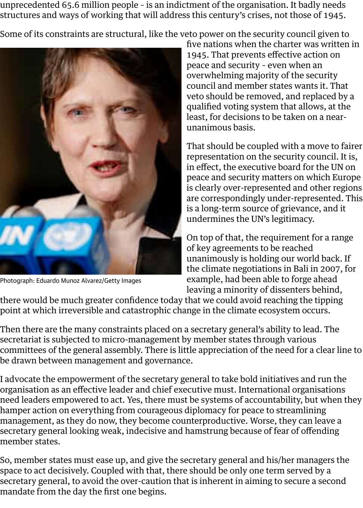<span id="page-1-0"></span>

Photograph: Eduardo Munoz Alvarez/Getty Images

[veto should be removed, and rep](http://www.unhcr.org/news/stories/2017/6/5941561f4/forced-displacement-worldwide-its-highest-decades.html)l qualified voting system that allow least, for decisions to be taken on unanimous basis.

That should be coupled with a mo representation on the security council. in effect, the executive board for the peace and security matters on wh is clearly over-represented and ot are correspondingly under-repres is a long-term source of grievance undermines the UN's legitimacy.

On top of that, the requirement for of key agreements to be reached unanimously is holding our world the climate negotiations in Bali in example, had been able to forge a leaving a minority of dissenters behind

there would be much greater confidence today that we could avoid reaching the t [point at which irreversible and catastrophic ch](#page-1-0)ange in the climate ecosystem occu

Then there are the many constraints placed on a secretary general's ability to lead secretariat is subjected to micro-management by member states through various committees of the general assembly. There is little appreciation of the need for a o be drawn between management and governance.

I advocate the empowerment of the secretary general to take bold initiatives and organisation as an effective leader and chief executive must. International organis need leaders empowered to act. Yes, there must be systems of accountability, but hamper action on everything from courageous diplomacy for peace to streamlinii management, as they do now, they become counterproductive. Worse, they can le secretary general looking weak, indecisive and hamstrung because of fear of offei member states.

So, member states must ease up, and give the secretary general and his/her mana space to act decisively. Coupled with that, there should be only one term served  $\mathfrak b$ secretary general, to avoid the over-caution that is inherent in aiming to secure a mandate from the day the first one begins.